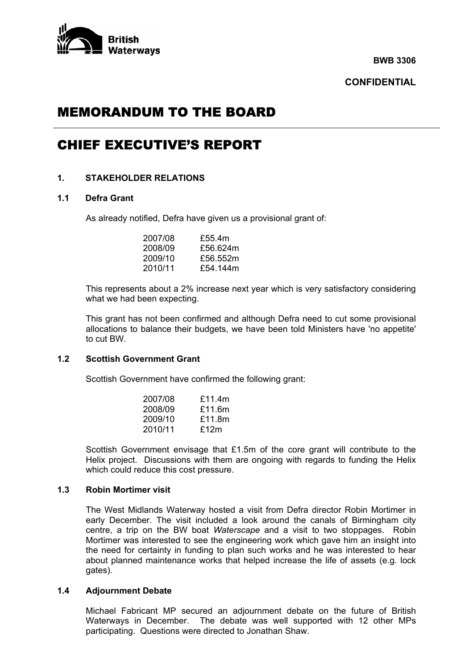

**BWB 3306** 

**CONFIDENTIAL** 

# MEMORANDUM TO THE BOARD

## CHIEF EXECUTIVE'S REPORT

## **1. STAKEHOLDER RELATIONS**

## **1.1 Defra Grant**

As already notified, Defra have given us a provisional grant of:

| 2007/08 | £55.4m   |
|---------|----------|
| 2008/09 | £56.624m |
| 2009/10 | £56.552m |
| 2010/11 | £54,144m |

 This represents about a 2% increase next year which is very satisfactory considering what we had been expecting.

 This grant has not been confirmed and although Defra need to cut some provisional allocations to balance their budgets, we have been told Ministers have 'no appetite' to cut BW.

#### **1.2 Scottish Government Grant**

Scottish Government have confirmed the following grant:

| 2007/08 | £11.4 $m$ |
|---------|-----------|
| 2008/09 | £11.6m    |
| 2009/10 | £11.8m    |
| 2010/11 | £12 $m$   |

 Scottish Government envisage that £1.5m of the core grant will contribute to the Helix project. Discussions with them are ongoing with regards to funding the Helix which could reduce this cost pressure.

#### **1.3 Robin Mortimer visit**

 The West Midlands Waterway hosted a visit from Defra director Robin Mortimer in early December. The visit included a look around the canals of Birmingham city centre, a trip on the BW boat *Waterscape* and a visit to two stoppages. Robin Mortimer was interested to see the engineering work which gave him an insight into the need for certainty in funding to plan such works and he was interested to hear about planned maintenance works that helped increase the life of assets (e.g. lock gates).

#### **1.4 Adjournment Debate**

 Michael Fabricant MP secured an adjournment debate on the future of British Waterways in December. The debate was well supported with 12 other MPs participating. Questions were directed to Jonathan Shaw.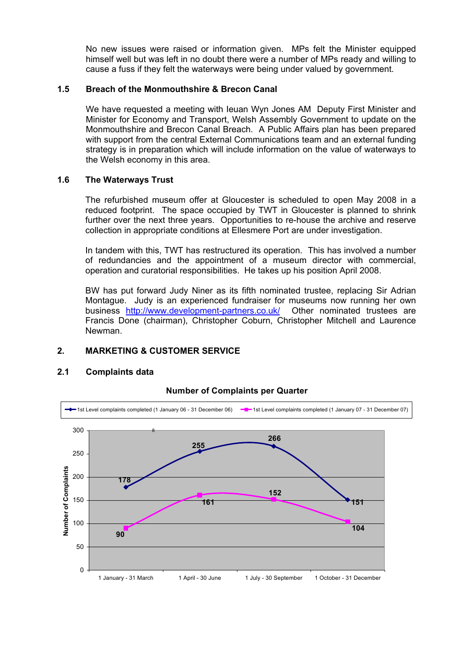No new issues were raised or information given. MPs felt the Minister equipped himself well but was left in no doubt there were a number of MPs ready and willing to cause a fuss if they felt the waterways were being under valued by government.

#### **1.5 Breach of the Monmouthshire & Brecon Canal**

We have requested a meeting with Ieuan Wyn Jones AM Deputy First Minister and Minister for Economy and Transport, Welsh Assembly Government to update on the Monmouthshire and Brecon Canal Breach. A Public Affairs plan has been prepared with support from the central External Communications team and an external funding strategy is in preparation which will include information on the value of waterways to the Welsh economy in this area.

#### **1.6 The Waterways Trust**

 The refurbished museum offer at Gloucester is scheduled to open May 2008 in a reduced footprint. The space occupied by TWT in Gloucester is planned to shrink further over the next three years. Opportunities to re-house the archive and reserve collection in appropriate conditions at Ellesmere Port are under investigation.

 In tandem with this, TWT has restructured its operation. This has involved a number of redundancies and the appointment of a museum director with commercial, operation and curatorial responsibilities. He takes up his position April 2008.

 BW has put forward Judy Niner as its fifth nominated trustee, replacing Sir Adrian Montague. Judy is an experienced fundraiser for museums now running her own business http://www.development-partners.co.uk/ Other nominated trustees are Francis Done (chairman), Christopher Coburn, Christopher Mitchell and Laurence Newman.

## **2. MARKETING & CUSTOMER SERVICE**

#### **2.1 Complaints data**



## **Number of Complaints per Quarter**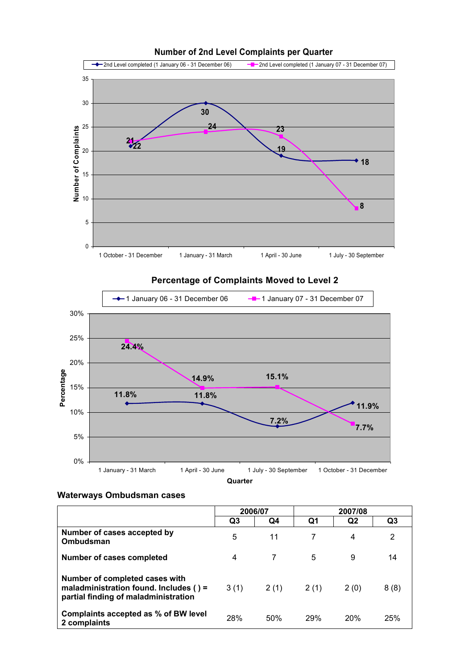

#### **Number of 2nd Level Complaints per Quarter**

## **Percentage of Complaints Moved to Level 2**



## **Waterways Ombudsman cases**

|                                                                                                                  | 2006/07 |      |      |                |      |
|------------------------------------------------------------------------------------------------------------------|---------|------|------|----------------|------|
|                                                                                                                  | Q3      | Q4   | Q1   | Q <sub>2</sub> | Q3   |
| Number of cases accepted by<br>Ombudsman                                                                         | 5       | 11   |      | 4              | 2    |
| Number of cases completed                                                                                        | 4       | 7    | 5    | 9              | 14   |
| Number of completed cases with<br>maladministration found. Includes () =<br>partial finding of maladministration | 3(1)    | 2(1) | 2(1) | 2(0)           | 8(8) |
| Complaints accepted as % of BW level<br>2 complaints                                                             | 28%     | 50%  | 29%  | 20%            | 25%  |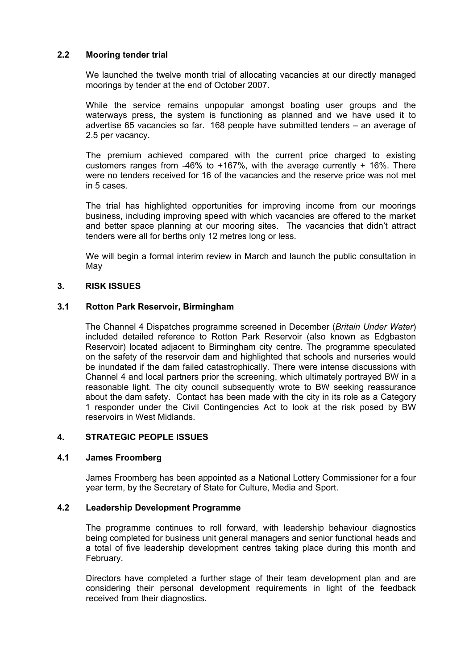## **2.2 Mooring tender trial**

 We launched the twelve month trial of allocating vacancies at our directly managed moorings by tender at the end of October 2007.

 While the service remains unpopular amongst boating user groups and the waterways press, the system is functioning as planned and we have used it to advertise 65 vacancies so far. 168 people have submitted tenders – an average of 2.5 per vacancy.

 The premium achieved compared with the current price charged to existing customers ranges from -46% to +167%, with the average currently + 16%. There were no tenders received for 16 of the vacancies and the reserve price was not met in 5 cases.

 The trial has highlighted opportunities for improving income from our moorings business, including improving speed with which vacancies are offered to the market and better space planning at our mooring sites. The vacancies that didn't attract tenders were all for berths only 12 metres long or less.

 We will begin a formal interim review in March and launch the public consultation in May

#### **3. RISK ISSUES**

#### **3.1 Rotton Park Reservoir, Birmingham**

 The Channel 4 Dispatches programme screened in December (*Britain Under Water*) included detailed reference to Rotton Park Reservoir (also known as Edgbaston Reservoir) located adjacent to Birmingham city centre. The programme speculated on the safety of the reservoir dam and highlighted that schools and nurseries would be inundated if the dam failed catastrophically. There were intense discussions with Channel 4 and local partners prior the screening, which ultimately portrayed BW in a reasonable light. The city council subsequently wrote to BW seeking reassurance about the dam safety. Contact has been made with the city in its role as a Category 1 responder under the Civil Contingencies Act to look at the risk posed by BW reservoirs in West Midlands.

## **4. STRATEGIC PEOPLE ISSUES**

#### **4.1 James Froomberg**

 James Froomberg has been appointed as a National Lottery Commissioner for a four year term, by the Secretary of State for Culture, Media and Sport.

#### **4.2 Leadership Development Programme**

 The programme continues to roll forward, with leadership behaviour diagnostics being completed for business unit general managers and senior functional heads and a total of five leadership development centres taking place during this month and February.

 Directors have completed a further stage of their team development plan and are considering their personal development requirements in light of the feedback received from their diagnostics.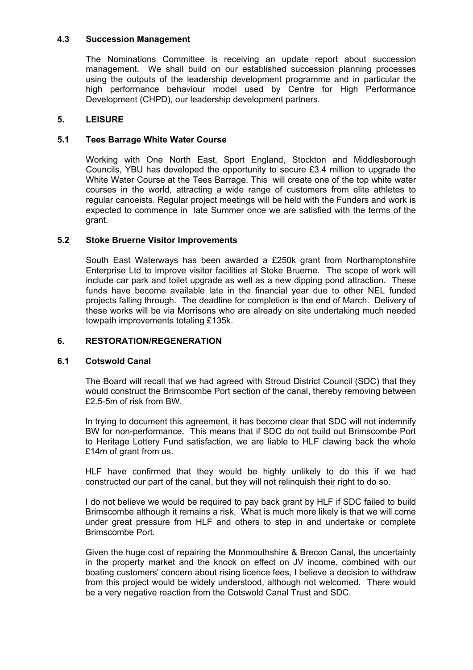## **4.3 Succession Management**

 The Nominations Committee is receiving an update report about succession management. We shall build on our established succession planning processes using the outputs of the leadership development programme and in particular the high performance behaviour model used by Centre for High Performance Development (CHPD), our leadership development partners.

#### **5. LEISURE**

#### **5.1 Tees Barrage White Water Course**

Working with One North East, Sport England, Stockton and Middlesborough Councils, YBU has developed the opportunity to secure £3.4 million to upgrade the White Water Course at the Tees Barrage. This will create one of the top white water courses in the world, attracting a wide range of customers from elite athletes to regular canoeists. Regular project meetings will be held with the Funders and work is expected to commence in late Summer once we are satisfied with the terms of the grant.

#### **5.2 Stoke Bruerne Visitor Improvements**

 South East Waterways has been awarded a £250k grant from Northamptonshire Enterprise Ltd to improve visitor facilities at Stoke Bruerne. The scope of work will include car park and toilet upgrade as well as a new dipping pond attraction. These funds have become available late in the financial year due to other NEL funded projects falling through. The deadline for completion is the end of March. Delivery of these works will be via Morrisons who are already on site undertaking much needed towpath improvements totaling £135k.

## **6. RESTORATION/REGENERATION**

#### **6.1 Cotswold Canal**

 The Board will recall that we had agreed with Stroud District Council (SDC) that they would construct the Brimscombe Port section of the canal, thereby removing between £2.5-5m of risk from BW.

 In trying to document this agreement, it has become clear that SDC will not indemnify BW for non-performance. This means that if SDC do not build out Brimscombe Port to Heritage Lottery Fund satisfaction, we are liable to HLF clawing back the whole £14m of grant from us.

 HLF have confirmed that they would be highly unlikely to do this if we had constructed our part of the canal, but they will not relinquish their right to do so.

 I do not believe we would be required to pay back grant by HLF if SDC failed to build Brimscombe although it remains a risk. What is much more likely is that we will come under great pressure from HLF and others to step in and undertake or complete Brimscombe Port.

 Given the huge cost of repairing the Monmouthshire & Brecon Canal, the uncertainty in the property market and the knock on effect on JV income, combined with our boating customers' concern about rising licence fees, I believe a decision to withdraw from this project would be widely understood, although not welcomed. There would be a very negative reaction from the Cotswold Canal Trust and SDC.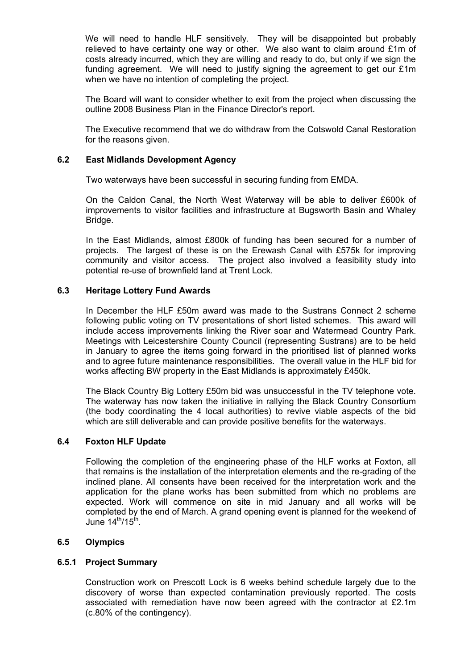We will need to handle HLF sensitively. They will be disappointed but probably relieved to have certainty one way or other. We also want to claim around £1m of costs already incurred, which they are willing and ready to do, but only if we sign the funding agreement. We will need to justify signing the agreement to get our £1m when we have no intention of completing the project.

 The Board will want to consider whether to exit from the project when discussing the outline 2008 Business Plan in the Finance Director's report.

 The Executive recommend that we do withdraw from the Cotswold Canal Restoration for the reasons given.

## **6.2 East Midlands Development Agency**

Two waterways have been successful in securing funding from EMDA.

 On the Caldon Canal, the North West Waterway will be able to deliver £600k of improvements to visitor facilities and infrastructure at Bugsworth Basin and Whaley Bridge.

 In the East Midlands, almost £800k of funding has been secured for a number of projects. The largest of these is on the Erewash Canal with £575k for improving community and visitor access. The project also involved a feasibility study into potential re-use of brownfield land at Trent Lock.

## **6.3 Heritage Lottery Fund Awards**

 In December the HLF £50m award was made to the Sustrans Connect 2 scheme following public voting on TV presentations of short listed schemes. This award will include access improvements linking the River soar and Watermead Country Park. Meetings with Leicestershire County Council (representing Sustrans) are to be held in January to agree the items going forward in the prioritised list of planned works and to agree future maintenance responsibilities. The overall value in the HLF bid for works affecting BW property in the East Midlands is approximately £450k.

 The Black Country Big Lottery £50m bid was unsuccessful in the TV telephone vote. The waterway has now taken the initiative in rallying the Black Country Consortium (the body coordinating the 4 local authorities) to revive viable aspects of the bid which are still deliverable and can provide positive benefits for the waterways.

## **6.4 Foxton HLF Update**

 Following the completion of the engineering phase of the HLF works at Foxton, all that remains is the installation of the interpretation elements and the re-grading of the inclined plane. All consents have been received for the interpretation work and the application for the plane works has been submitted from which no problems are expected. Work will commence on site in mid January and all works will be completed by the end of March. A grand opening event is planned for the weekend of June  $14<sup>th</sup>/15<sup>th</sup>$ .

## **6.5 Olympics**

#### **6.5.1 Project Summary**

 Construction work on Prescott Lock is 6 weeks behind schedule largely due to the discovery of worse than expected contamination previously reported. The costs associated with remediation have now been agreed with the contractor at £2.1m (c.80% of the contingency).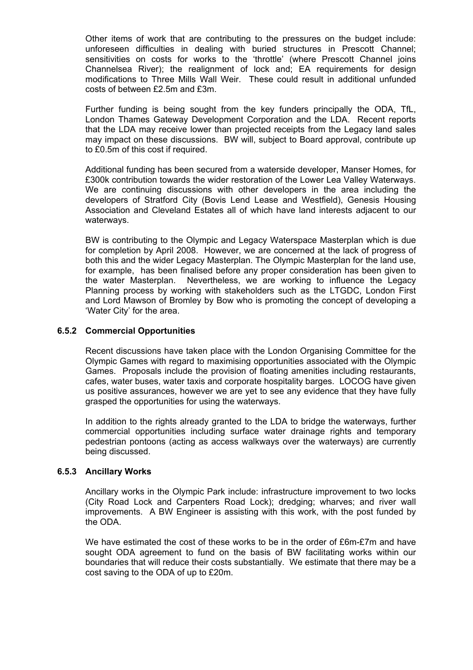Other items of work that are contributing to the pressures on the budget include: unforeseen difficulties in dealing with buried structures in Prescott Channel; sensitivities on costs for works to the 'throttle' (where Prescott Channel joins Channelsea River); the realignment of lock and; EA requirements for design modifications to Three Mills Wall Weir. These could result in additional unfunded costs of between £2.5m and £3m.

Further funding is being sought from the key funders principally the ODA. TfL. London Thames Gateway Development Corporation and the LDA. Recent reports that the LDA may receive lower than projected receipts from the Legacy land sales may impact on these discussions. BW will, subject to Board approval, contribute up to £0.5m of this cost if required.

 Additional funding has been secured from a waterside developer, Manser Homes, for £300k contribution towards the wider restoration of the Lower Lea Valley Waterways. We are continuing discussions with other developers in the area including the developers of Stratford City (Bovis Lend Lease and Westfield), Genesis Housing Association and Cleveland Estates all of which have land interests adjacent to our waterways.

 BW is contributing to the Olympic and Legacy Waterspace Masterplan which is due for completion by April 2008. However, we are concerned at the lack of progress of both this and the wider Legacy Masterplan. The Olympic Masterplan for the land use, for example, has been finalised before any proper consideration has been given to the water Masterplan. Nevertheless, we are working to influence the Legacy Planning process by working with stakeholders such as the LTGDC, London First and Lord Mawson of Bromley by Bow who is promoting the concept of developing a 'Water City' for the area.

## **6.5.2 Commercial Opportunities**

 Recent discussions have taken place with the London Organising Committee for the Olympic Games with regard to maximising opportunities associated with the Olympic Games. Proposals include the provision of floating amenities including restaurants, cafes, water buses, water taxis and corporate hospitality barges. LOCOG have given us positive assurances, however we are yet to see any evidence that they have fully grasped the opportunities for using the waterways.

 In addition to the rights already granted to the LDA to bridge the waterways, further commercial opportunities including surface water drainage rights and temporary pedestrian pontoons (acting as access walkways over the waterways) are currently being discussed.

## **6.5.3 Ancillary Works**

 Ancillary works in the Olympic Park include: infrastructure improvement to two locks (City Road Lock and Carpenters Road Lock); dredging; wharves; and river wall improvements. A BW Engineer is assisting with this work, with the post funded by the ODA.

We have estimated the cost of these works to be in the order of £6m-£7m and have sought ODA agreement to fund on the basis of BW facilitating works within our boundaries that will reduce their costs substantially. We estimate that there may be a cost saving to the ODA of up to £20m.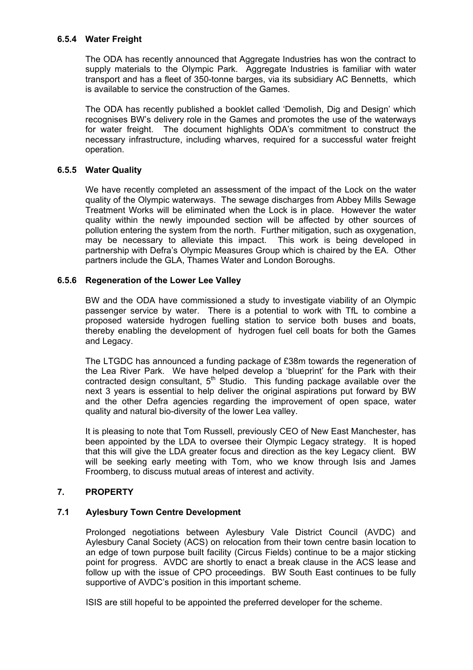## **6.5.4 Water Freight**

 The ODA has recently announced that Aggregate Industries has won the contract to supply materials to the Olympic Park. Aggregate Industries is familiar with water transport and has a fleet of 350-tonne barges, via its subsidiary AC Bennetts, which is available to service the construction of the Games.

 The ODA has recently published a booklet called 'Demolish, Dig and Design' which recognises BW's delivery role in the Games and promotes the use of the waterways for water freight. The document highlights ODA's commitment to construct the necessary infrastructure, including wharves, required for a successful water freight operation.

## **6.5.5 Water Quality**

 We have recently completed an assessment of the impact of the Lock on the water quality of the Olympic waterways. The sewage discharges from Abbey Mills Sewage Treatment Works will be eliminated when the Lock is in place. However the water quality within the newly impounded section will be affected by other sources of pollution entering the system from the north. Further mitigation, such as oxygenation, may be necessary to alleviate this impact. This work is being developed in partnership with Defra's Olympic Measures Group which is chaired by the EA. Other partners include the GLA, Thames Water and London Boroughs.

## **6.5.6 Regeneration of the Lower Lee Valley**

 BW and the ODA have commissioned a study to investigate viability of an Olympic passenger service by water. There is a potential to work with TfL to combine a proposed waterside hydrogen fuelling station to service both buses and boats, thereby enabling the development of hydrogen fuel cell boats for both the Games and Legacy.

 The LTGDC has announced a funding package of £38m towards the regeneration of the Lea River Park. We have helped develop a 'blueprint' for the Park with their contracted design consultant,  $5<sup>th</sup>$  Studio. This funding package available over the next 3 years is essential to help deliver the original aspirations put forward by BW and the other Defra agencies regarding the improvement of open space, water quality and natural bio-diversity of the lower Lea valley.

 It is pleasing to note that Tom Russell, previously CEO of New East Manchester, has been appointed by the LDA to oversee their Olympic Legacy strategy. It is hoped that this will give the LDA greater focus and direction as the key Legacy client. BW will be seeking early meeting with Tom, who we know through Isis and James Froomberg, to discuss mutual areas of interest and activity.

## **7. PROPERTY**

## **7.1 Aylesbury Town Centre Development**

Prolonged negotiations between Aylesbury Vale District Council (AVDC) and Aylesbury Canal Society (ACS) on relocation from their town centre basin location to an edge of town purpose built facility (Circus Fields) continue to be a major sticking point for progress. AVDC are shortly to enact a break clause in the ACS lease and follow up with the issue of CPO proceedings. BW South East continues to be fully supportive of AVDC's position in this important scheme.

ISIS are still hopeful to be appointed the preferred developer for the scheme.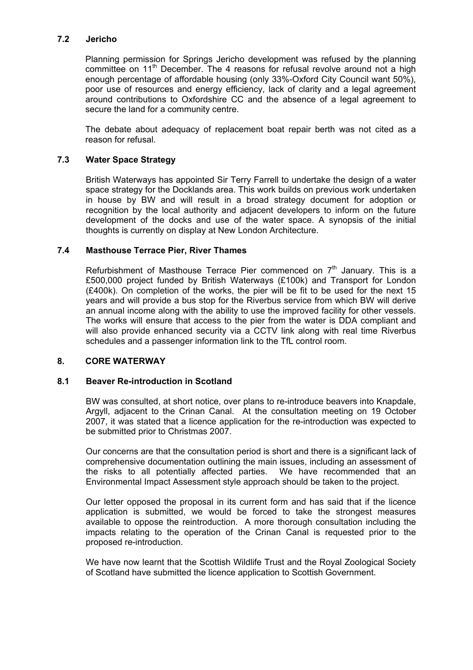## **7.2 Jericho**

Planning permission for Springs Jericho development was refused by the planning committee on 11<sup>th</sup> December. The 4 reasons for refusal revolve around not a high enough percentage of affordable housing (only 33%-Oxford City Council want 50%), poor use of resources and energy efficiency, lack of clarity and a legal agreement around contributions to Oxfordshire CC and the absence of a legal agreement to secure the land for a community centre.

The debate about adequacy of replacement boat repair berth was not cited as a reason for refusal.

## **7.3 Water Space Strategy**

British Waterways has appointed Sir Terry Farrell to undertake the design of a water space strategy for the Docklands area. This work builds on previous work undertaken in house by BW and will result in a broad strategy document for adoption or recognition by the local authority and adjacent developers to inform on the future development of the docks and use of the water space. A synopsis of the initial thoughts is currently on display at New London Architecture.

## **7.4 Masthouse Terrace Pier, River Thames**

Refurbishment of Masthouse Terrace Pier commenced on  $7<sup>th</sup>$  January. This is a £500,000 project funded by British Waterways (£100k) and Transport for London (£400k). On completion of the works, the pier will be fit to be used for the next 15 years and will provide a bus stop for the Riverbus service from which BW will derive an annual income along with the ability to use the improved facility for other vessels. The works will ensure that access to the pier from the water is DDA compliant and will also provide enhanced security via a CCTV link along with real time Riverbus schedules and a passenger information link to the TfL control room.

## **8. CORE WATERWAY**

## **8.1 Beaver Re-introduction in Scotland**

 BW was consulted, at short notice, over plans to re-introduce beavers into Knapdale, Argyll, adjacent to the Crinan Canal. At the consultation meeting on 19 October 2007, it was stated that a licence application for the re-introduction was expected to be submitted prior to Christmas 2007.

 Our concerns are that the consultation period is short and there is a significant lack of comprehensive documentation outlining the main issues, including an assessment of the risks to all potentially affected parties. We have recommended that an Environmental Impact Assessment style approach should be taken to the project.

 Our letter opposed the proposal in its current form and has said that if the licence application is submitted, we would be forced to take the strongest measures available to oppose the reintroduction. A more thorough consultation including the impacts relating to the operation of the Crinan Canal is requested prior to the proposed re-introduction.

 We have now learnt that the Scottish Wildlife Trust and the Royal Zoological Society of Scotland have submitted the licence application to Scottish Government.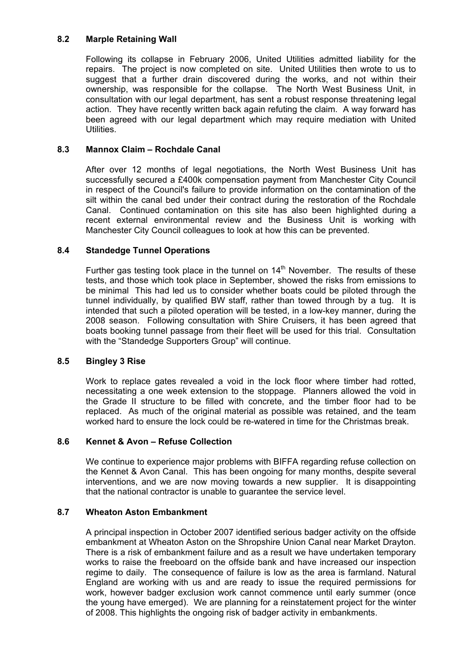## **8.2 Marple Retaining Wall**

 Following its collapse in February 2006, United Utilities admitted liability for the repairs. The project is now completed on site. United Utilities then wrote to us to suggest that a further drain discovered during the works, and not within their ownership, was responsible for the collapse. The North West Business Unit, in consultation with our legal department, has sent a robust response threatening legal action. They have recently written back again refuting the claim. A way forward has been agreed with our legal department which may require mediation with United Utilities.

## **8.3 Mannox Claim – Rochdale Canal**

 After over 12 months of legal negotiations, the North West Business Unit has successfully secured a £400k compensation payment from Manchester City Council in respect of the Council's failure to provide information on the contamination of the silt within the canal bed under their contract during the restoration of the Rochdale Canal. Continued contamination on this site has also been highlighted during a recent external environmental review and the Business Unit is working with Manchester City Council colleagues to look at how this can be prevented.

## **8.4 Standedge Tunnel Operations**

Further gas testing took place in the tunnel on  $14<sup>th</sup>$  November. The results of these tests, and those which took place in September, showed the risks from emissions to be minimal This had led us to consider whether boats could be piloted through the tunnel individually, by qualified BW staff, rather than towed through by a tug. It is intended that such a piloted operation will be tested, in a low-key manner, during the 2008 season. Following consultation with Shire Cruisers, it has been agreed that boats booking tunnel passage from their fleet will be used for this trial. Consultation with the "Standedge Supporters Group" will continue.

## **8.5 Bingley 3 Rise**

 Work to replace gates revealed a void in the lock floor where timber had rotted, necessitating a one week extension to the stoppage. Planners allowed the void in the Grade II structure to be filled with concrete, and the timber floor had to be replaced. As much of the original material as possible was retained, and the team worked hard to ensure the lock could be re-watered in time for the Christmas break.

## **8.6 Kennet & Avon – Refuse Collection**

 We continue to experience major problems with BIFFA regarding refuse collection on the Kennet & Avon Canal. This has been ongoing for many months, despite several interventions, and we are now moving towards a new supplier. It is disappointing that the national contractor is unable to guarantee the service level.

## **8.7 Wheaton Aston Embankment**

 A principal inspection in October 2007 identified serious badger activity on the offside embankment at Wheaton Aston on the Shropshire Union Canal near Market Drayton. There is a risk of embankment failure and as a result we have undertaken temporary works to raise the freeboard on the offside bank and have increased our inspection regime to daily. The consequence of failure is low as the area is farmland. Natural England are working with us and are ready to issue the required permissions for work, however badger exclusion work cannot commence until early summer (once the young have emerged). We are planning for a reinstatement project for the winter of 2008. This highlights the ongoing risk of badger activity in embankments.